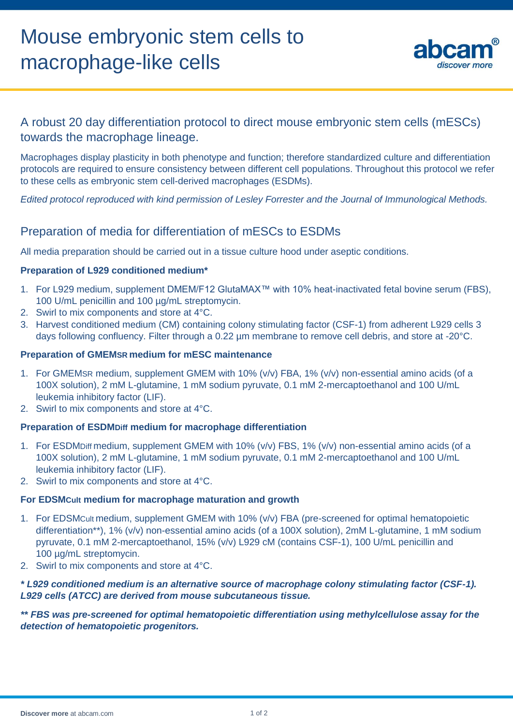

# A robust 20 day differentiation protocol to direct mouse embryonic stem cells (mESCs) towards the macrophage lineage.

Macrophages display plasticity in both phenotype and function; therefore standardized culture and differentiation protocols are required to ensure consistency between different cell populations. Throughout this protocol we refer to these cells as embryonic stem cell-derived macrophages (ESDMs).

*Edited protocol reproduced with kind permission of Lesley Forrester and the Journal of Immunological Methods.*

# Preparation of media for differentiation of mESCs to ESDMs

All media preparation should be carried out in a tissue culture hood under aseptic conditions.

## **Preparation of L929 conditioned medium\***

- 1. For L929 medium, supplement DMEM/F12 GlutaMAX™ with 10% heat-inactivated fetal bovine serum (FBS), 100 U/mL penicillin and 100 ug/mL streptomycin.
- 2. Swirl to mix components and store at 4°C.
- 3. Harvest conditioned medium (CM) containing colony stimulating factor (CSF-1) from adherent L929 cells 3 days following confluency. Filter through a 0.22 um membrane to remove cell debris, and store at -20°C.

## **Preparation of GMEMSR medium for mESC maintenance**

- 1. For GMEMSR medium, supplement GMEM with 10% (v/v) FBA, 1% (v/v) non-essential amino acids (of a 100X solution), 2 mM L-glutamine, 1 mM sodium pyruvate, 0.1 mM 2-mercaptoethanol and 100 U/mL leukemia inhibitory factor (LIF).
- 2. Swirl to mix components and store at 4°C.

#### **Preparation of ESDMDiff medium for macrophage differentiation**

- 1. For ESDMDiff medium, supplement GMEM with 10% (v/v) FBS, 1% (v/v) non-essential amino acids (of a 100X solution), 2 mM L-glutamine, 1 mM sodium pyruvate, 0.1 mM 2-mercaptoethanol and 100 U/mL leukemia inhibitory factor (LIF).
- 2. Swirl to mix components and store at 4°C.

#### **For EDSMCult medium for macrophage maturation and growth**

- 1. For EDSMCult medium, supplement GMEM with 10% (v/v) FBA (pre-screened for optimal hematopoietic differentiation\*\*), 1% (v/v) non-essential amino acids (of a 100X solution), 2mM L-glutamine, 1 mM sodium pyruvate, 0.1 mM 2-mercaptoethanol, 15% (v/v) L929 cM (contains CSF-1), 100 U/mL penicillin and 100 µg/mL streptomycin.
- 2. Swirl to mix components and store at 4°C.

## *\* L929 conditioned medium is an alternative source of macrophage colony stimulating factor (CSF-1). L929 cells (ATCC) are derived from mouse subcutaneous tissue.*

## *\*\* FBS was pre-screened for optimal hematopoietic differentiation using methylcellulose assay for the detection of hematopoietic progenitors.*